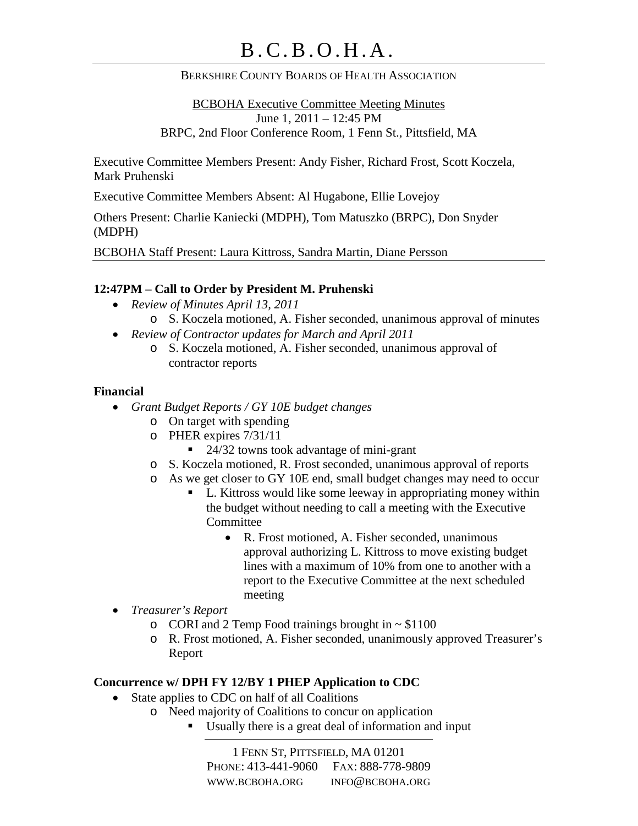### BERKSHIRE COUNTY BOARDS OF HEALTH ASSOCIATION

BCBOHA Executive Committee Meeting Minutes June 1, 2011 – 12:45 PM BRPC, 2nd Floor Conference Room, 1 Fenn St., Pittsfield, MA

Executive Committee Members Present: Andy Fisher, Richard Frost, Scott Koczela, Mark Pruhenski

Executive Committee Members Absent: Al Hugabone, Ellie Lovejoy

Others Present: Charlie Kaniecki (MDPH), Tom Matuszko (BRPC), Don Snyder (MDPH)

BCBOHA Staff Present: Laura Kittross, Sandra Martin, Diane Persson

### **12:47PM – Call to Order by President M. Pruhenski**

- *Review of Minutes April 13, 2011*
	- o S. Koczela motioned, A. Fisher seconded, unanimous approval of minutes
- *Review of Contractor updates for March and April 2011*
	- o S. Koczela motioned, A. Fisher seconded, unanimous approval of contractor reports

#### **Financial**

- *Grant Budget Reports / GY 10E budget changes*
	- o On target with spending
	- o PHER expires 7/31/11
		- 24/32 towns took advantage of mini-grant
	- o S. Koczela motioned, R. Frost seconded, unanimous approval of reports
	- o As we get closer to GY 10E end, small budget changes may need to occur
		- L. Kittross would like some leeway in appropriating money within the budget without needing to call a meeting with the Executive Committee
			- R. Frost motioned, A. Fisher seconded, unanimous approval authorizing L. Kittross to move existing budget lines with a maximum of 10% from one to another with a report to the Executive Committee at the next scheduled meeting
- *Treasurer's Report*
	- $\circ$  CORI and 2 Temp Food trainings brought in  $\sim$  \$1100
	- o R. Frost motioned, A. Fisher seconded, unanimously approved Treasurer's Report

### **Concurrence w/ DPH FY 12/BY 1 PHEP Application to CDC**

- State applies to CDC on half of all Coalitions
	- o Need majority of Coalitions to concur on application
		- Usually there is a great deal of information and input

1 FENN ST, PITTSFIELD, MA 01201 PHONE: 413-441-9060 FAX: 888-778-9809 WWW.BCBOHA.ORG INFO@BCBOHA.ORG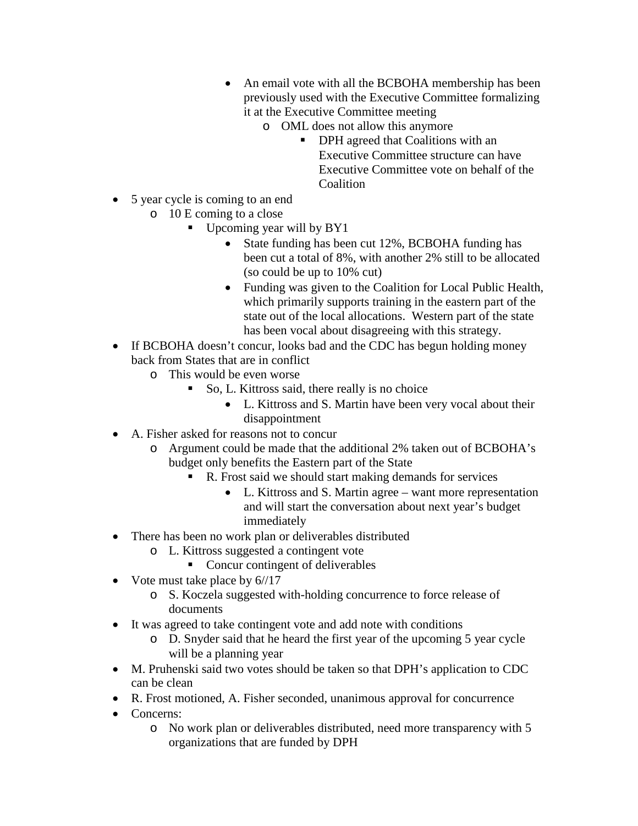- An email vote with all the BCBOHA membership has been previously used with the Executive Committee formalizing it at the Executive Committee meeting
	- o OML does not allow this anymore
		- **•** DPH agreed that Coalitions with an Executive Committee structure can have Executive Committee vote on behalf of the Coalition
- 5 year cycle is coming to an end
	- o 10 E coming to a close
		- Upcoming year will by BY1
			- State funding has been cut 12%, BCBOHA funding has been cut a total of 8%, with another 2% still to be allocated (so could be up to 10% cut)
			- Funding was given to the Coalition for Local Public Health, which primarily supports training in the eastern part of the state out of the local allocations. Western part of the state has been vocal about disagreeing with this strategy.
- If BCBOHA doesn't concur, looks bad and the CDC has begun holding money back from States that are in conflict
	- o This would be even worse
		- So, L. Kittross said, there really is no choice
			- L. Kittross and S. Martin have been very vocal about their disappointment
- A. Fisher asked for reasons not to concur
	- o Argument could be made that the additional 2% taken out of BCBOHA's budget only benefits the Eastern part of the State
		- R. Frost said we should start making demands for services
			- L. Kittross and S. Martin agree want more representation and will start the conversation about next year's budget immediately
- There has been no work plan or deliverables distributed
	- o L. Kittross suggested a contingent vote
		- Concur contingent of deliverables
- Vote must take place by  $6/\sqrt{17}$ 
	- o S. Koczela suggested with-holding concurrence to force release of documents
- It was agreed to take contingent vote and add note with conditions
	- o D. Snyder said that he heard the first year of the upcoming 5 year cycle will be a planning year
- M. Pruhenski said two votes should be taken so that DPH's application to CDC can be clean
- R. Frost motioned, A. Fisher seconded, unanimous approval for concurrence
- Concerns:
	- o No work plan or deliverables distributed, need more transparency with 5 organizations that are funded by DPH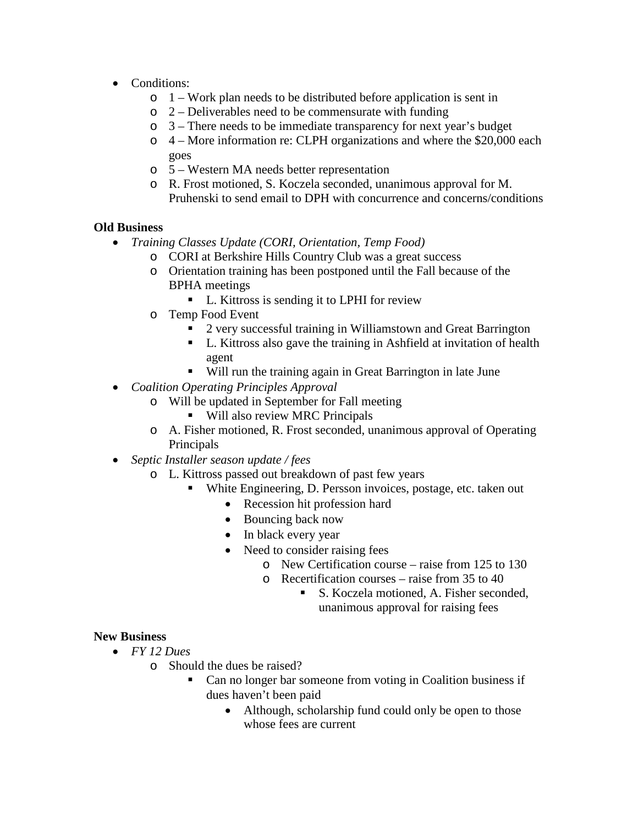- Conditions:
	- $\circ$  1 Work plan needs to be distributed before application is sent in
	- $\circ$  2 Deliverables need to be commensurate with funding
	- o 3 There needs to be immediate transparency for next year's budget
	- o 4 More information re: CLPH organizations and where the \$20,000 each goes
	- o 5 Western MA needs better representation
	- o R. Frost motioned, S. Koczela seconded, unanimous approval for M. Pruhenski to send email to DPH with concurrence and concerns/conditions

## **Old Business**

- *Training Classes Update (CORI, Orientation, Temp Food)*
	- o CORI at Berkshire Hills Country Club was a great success
	- o Orientation training has been postponed until the Fall because of the BPHA meetings
		- L. Kittross is sending it to LPHI for review
	- o Temp Food Event
		- 2 very successful training in Williamstown and Great Barrington
		- L. Kittross also gave the training in Ashfield at invitation of health agent
		- Will run the training again in Great Barrington in late June
- *Coalition Operating Principles Approval*
	- o Will be updated in September for Fall meeting
		- Will also review MRC Principals
	- o A. Fisher motioned, R. Frost seconded, unanimous approval of Operating Principals
- *Septic Installer season update / fees*
	- o L. Kittross passed out breakdown of past few years
		- White Engineering, D. Persson invoices, postage, etc. taken out
			- Recession hit profession hard
			- Bouncing back now
			- In black every year
			- Need to consider raising fees
				- o New Certification course raise from 125 to 130
				- o Recertification courses raise from 35 to 40
					- S. Koczela motioned, A. Fisher seconded, unanimous approval for raising fees

## **New Business**

- *FY 12 Dues*
	- o Should the dues be raised?
		- Can no longer bar someone from voting in Coalition business if dues haven't been paid
			- Although, scholarship fund could only be open to those whose fees are current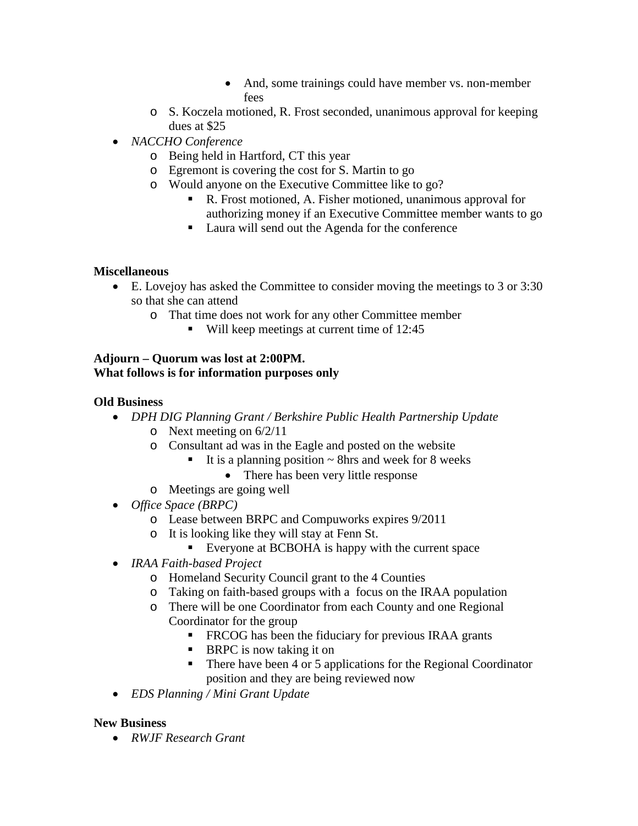- And, some trainings could have member vs. non-member fees
- o S. Koczela motioned, R. Frost seconded, unanimous approval for keeping dues at \$25
- *NACCHO Conference*
	- o Being held in Hartford, CT this year
	- o Egremont is covering the cost for S. Martin to go
	- o Would anyone on the Executive Committee like to go?
		- R. Frost motioned, A. Fisher motioned, unanimous approval for authorizing money if an Executive Committee member wants to go
		- Laura will send out the Agenda for the conference

# **Miscellaneous**

- E. Lovejoy has asked the Committee to consider moving the meetings to 3 or 3:30 so that she can attend
	- o That time does not work for any other Committee member
		- Will keep meetings at current time of 12:45

### **Adjourn – Quorum was lost at 2:00PM. What follows is for information purposes only**

# **Old Business**

- *DPH DIG Planning Grant / Berkshire Public Health Partnership Update*
	- o Next meeting on 6/2/11
	- o Consultant ad was in the Eagle and posted on the website
		- It is a planning position  $\sim$  8hrs and week for 8 weeks
			- There has been very little response
	- o Meetings are going well
- *Office Space (BRPC)*
	- o Lease between BRPC and Compuworks expires 9/2011
	- o It is looking like they will stay at Fenn St.
		- Everyone at BCBOHA is happy with the current space
- *IRAA Faith-based Project*
	- o Homeland Security Council grant to the 4 Counties
	- o Taking on faith-based groups with a focus on the IRAA population
	- o There will be one Coordinator from each County and one Regional Coordinator for the group
		- **FRCOG** has been the fiduciary for previous IRAA grants
		- $\blacksquare$  BRPC is now taking it on
		- There have been 4 or 5 applications for the Regional Coordinator position and they are being reviewed now
- *EDS Planning / Mini Grant Update*

## **New Business**

• *RWJF Research Grant*